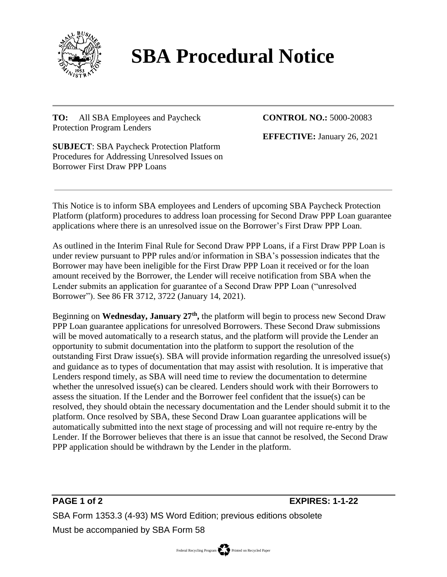

## **SBA Procedural Notice**

**TO:** All SBA Employees and Paycheck Protection Program Lenders

**CONTROL NO.:** 5000-20083

**EFFECTIVE:** January 26, 2021

**SUBJECT**: SBA Paycheck Protection Platform Procedures for Addressing Unresolved Issues on Borrower First Draw PPP Loans

This Notice is to inform SBA employees and Lenders of upcoming SBA Paycheck Protection Platform (platform) procedures to address loan processing for Second Draw PPP Loan guarantee applications where there is an unresolved issue on the Borrower's First Draw PPP Loan.

As outlined in the Interim Final Rule for Second Draw PPP Loans, if a First Draw PPP Loan is under review pursuant to PPP rules and/or information in SBA's possession indicates that the Borrower may have been ineligible for the First Draw PPP Loan it received or for the loan amount received by the Borrower, the Lender will receive notification from SBA when the Lender submits an application for guarantee of a Second Draw PPP Loan ("unresolved Borrower"). See 86 FR 3712, 3722 (January 14, 2021).

Beginning on **Wednesday, January 27th ,** the platform will begin to process new Second Draw PPP Loan guarantee applications for unresolved Borrowers. These Second Draw submissions will be moved automatically to a research status, and the platform will provide the Lender an opportunity to submit documentation into the platform to support the resolution of the outstanding First Draw issue(s). SBA will provide information regarding the unresolved issue(s) and guidance as to types of documentation that may assist with resolution. It is imperative that Lenders respond timely, as SBA will need time to review the documentation to determine whether the unresolved issue(s) can be cleared. Lenders should work with their Borrowers to assess the situation. If the Lender and the Borrower feel confident that the issue(s) can be resolved, they should obtain the necessary documentation and the Lender should submit it to the platform. Once resolved by SBA, these Second Draw Loan guarantee applications will be automatically submitted into the next stage of processing and will not require re-entry by the Lender. If the Borrower believes that there is an issue that cannot be resolved, the Second Draw PPP application should be withdrawn by the Lender in the platform.